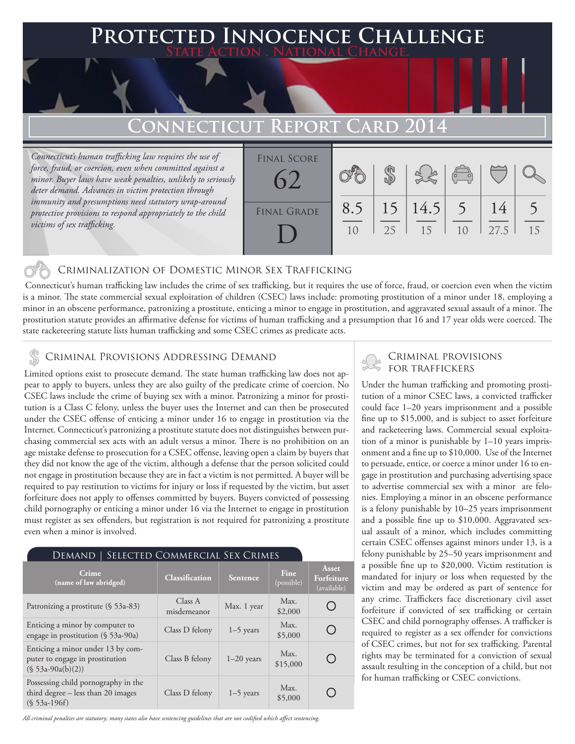## **PTED INNOCENCE CHALLENGE State Action . National Change. Connecticut Report Card 2014** *Connecticut's human trafficking law requires the use of force, fraud, or coercion, even when committed against a minor. Buyer laws have weak penalties, unlikely to seriously*  \$ Final Score 62

10

25

15

8.5

### Criminalization of Domestic Minor Sex Trafficking

 Connecticut's human trafficking law includes the crime of sex trafficking, but it requires the use of force, fraud, or coercion even when the victim is a minor. The state commercial sexual exploitation of children (CSEC) laws include: promoting prostitution of a minor under 18, employing a minor in an obscene performance, patronizing a prostitute, enticing a minor to engage in prostitution, and aggravated sexual assault of a minor. The prostitution statute provides an affirmative defense for victims of human trafficking and a presumption that 16 and 17 year olds were coerced. The state racketeering statute lists human trafficking and some CSEC crimes as predicate acts.

FINAL GRADE

D

*deter demand. Advances in victim protection through immunity and presumptions need statutory wrap-around protective provisions to respond appropriately to the child* 

*victims of sex trafficking.*

Limited options exist to prosecute demand. The state human trafficking law does not appear to apply to buyers, unless they are also guilty of the predicate crime of coercion. No CSEC laws include the crime of buying sex with a minor. Patronizing a minor for prostitution is a Class C felony, unless the buyer uses the Internet and can then be prosecuted under the CSEC offense of enticing a minor under 16 to engage in prostitution via the Internet. Connecticut's patronizing a prostitute statute does not distinguishes between purchasing commercial sex acts with an adult versus a minor. There is no prohibition on an age mistake defense to prosecution for a CSEC offense, leaving open a claim by buyers that they did not know the age of the victim, although a defense that the person solicited could not engage in prostitution because they are in fact a victim is not permitted. A buyer will be required to pay restitution to victims for injury or loss if requested by the victim, but asset forfeiture does not apply to offenses committed by buyers. Buyers convicted of possessing child pornography or enticing a minor under 16 via the Internet to engage in prostitution must register as sex offenders, but registration is not required for patronizing a prostitute even when a minor is involved.

| SELECTED COMMERCIAL SEX CRIMES<br>Demand                                                    |                        |              |                           |                                        |
|---------------------------------------------------------------------------------------------|------------------------|--------------|---------------------------|----------------------------------------|
| Crime<br>(name of law abridged)                                                             | <b>Classification</b>  | Sentence     | <b>Fine</b><br>(possible) | Asset<br>Forfeiture<br>(available)     |
| Patronizing a prostitute (§ 53a-83)                                                         | Class A<br>misdemeanor | Max. 1 year  | Max.<br>\$2,000           |                                        |
| Enticing a minor by computer to<br>engage in prostitution $(\S 53a-90a)$                    | Class D felony         | $1-5$ years  | Max.<br>\$5,000           | $\begin{array}{c} \square \end{array}$ |
| Enticing a minor under 13 by com-<br>puter to engage in prostitution<br>$(S 53a-90a(b)(2))$ | Class B felony         | $1-20$ years | Max.<br>\$15,000          |                                        |
| Possessing child pornography in the<br>third degree - less than 20 images<br>$(S 53a-196f)$ | Class D felony         | $1-5$ years  | Max.<br>\$5,000           |                                        |

*All criminal penalties are statutory; many states also have sentencing guidelines that are not codified which affect sentencing.* 

# CRIMINAL PROVISIONS ADDRESSING DEMAND<br>
FOR TRAFFICKERS \$ FOR TRAFFICKERS

15

 $1<sub>0</sub>$ 

27.5

15

5

14

5

14.5

Under the human trafficking and promoting prostitution of a minor CSEC laws, a convicted trafficker could face 1–20 years imprisonment and a possible fine up to \$15,000, and is subject to asset forfeiture and racketeering laws. Commercial sexual exploitation of a minor is punishable by 1–10 years imprisonment and a fine up to \$10,000. Use of the Internet to persuade, entice, or coerce a minor under 16 to engage in prostitution and purchasing advertising space to advertise commercial sex with a minor are felonies. Employing a minor in an obscene performance is a felony punishable by 10–25 years imprisonment and a possible fine up to \$10,000. Aggravated sexual assault of a minor, which includes committing certain CSEC offenses against minors under 13, is a felony punishable by 25–50 years imprisonment and a possible fine up to \$20,000. Victim restitution is mandated for injury or loss when requested by the victim and may be ordered as part of sentence for any crime. Traffickers face discretionary civil asset forfeiture if convicted of sex trafficking or certain CSEC and child pornography offenses. A trafficker is required to register as a sex offender for convictions of CSEC crimes, but not for sex trafficking. Parental rights may be terminated for a conviction of sexual assault resulting in the conception of a child, but not for human trafficking or CSEC convictions.